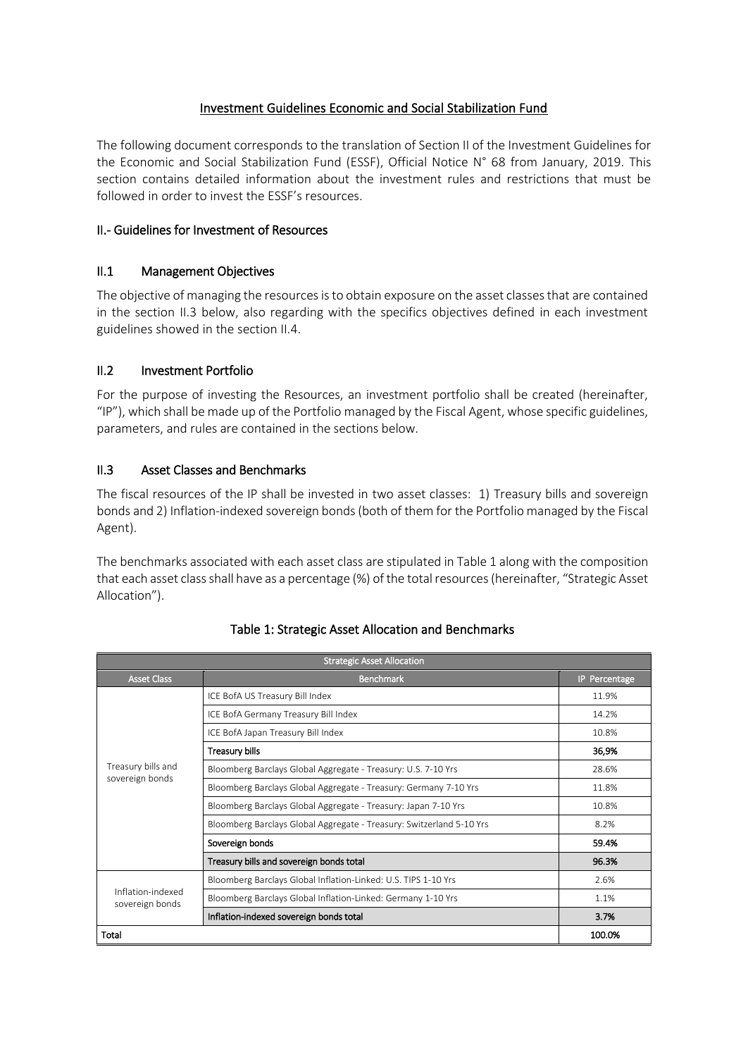# Investment Guidelines Economic and Social Stabilization Fund

The following document corresponds to the translation of Section II of the Investment Guidelines for the Economic and Social Stabilization Fund (ESSF), Official Notice N° 68 from January, 2019. This section contains detailed information about the investment rules and restrictions that must be followed in order to invest the ESSF's resources.

## II.- Guidelines for Investment of Resources

## II.1 Management Objectives

The objective of managing the resources is to obtain exposure on the asset classes that are contained in the section II.3 below, also regarding with the specifics objectives defined in each investment guidelines showed in the section II.4.

## II.2 Investment Portfolio

For the purpose of investing the Resources, an investment portfolio shall be created (hereinafter, "IP"), which shall be made up of the Portfolio managed by the Fiscal Agent, whose specific guidelines, parameters, and rules are contained in the sections below.

## II.3 Asset Classes and Benchmarks

The fiscal resources of the IP shall be invested in two asset classes: 1) Treasury bills and sovereign bonds and 2) Inflation-indexed sovereign bonds (both of them for the Portfolio managed by the Fiscal Agent).

The benchmarks associated with each asset class are stipulated in Table 1 along with the composition that each asset classshall have as a percentage (%) of the total resources (hereinafter, "Strategic Asset Allocation").

| <b>Strategic Asset Allocation</b>     |                                                                      |               |  |
|---------------------------------------|----------------------------------------------------------------------|---------------|--|
| <b>Asset Class</b>                    | <b>Benchmark</b>                                                     | IP Percentage |  |
| Treasury bills and<br>sovereign bonds | ICE BofA US Treasury Bill Index                                      | 11.9%         |  |
|                                       | ICE BofA Germany Treasury Bill Index                                 | 14.2%         |  |
|                                       | ICE BofA Japan Treasury Bill Index                                   | 10.8%         |  |
|                                       | Treasury bills                                                       | 36,9%         |  |
|                                       | Bloomberg Barclays Global Aggregate - Treasury: U.S. 7-10 Yrs        | 28.6%         |  |
|                                       | Bloomberg Barclays Global Aggregate - Treasury: Germany 7-10 Yrs     | 11.8%         |  |
|                                       | Bloomberg Barclays Global Aggregate - Treasury: Japan 7-10 Yrs       | 10.8%         |  |
|                                       | Bloomberg Barclays Global Aggregate - Treasury: Switzerland 5-10 Yrs | 8.2%          |  |
|                                       | Sovereign bonds                                                      | 59.4%         |  |
|                                       | Treasury bills and sovereign bonds total                             | 96.3%         |  |
| Inflation-indexed<br>sovereign bonds  | Bloomberg Barclays Global Inflation-Linked: U.S. TIPS 1-10 Yrs       | 2.6%          |  |
|                                       | Bloomberg Barclays Global Inflation-Linked: Germany 1-10 Yrs         | 1.1%          |  |
|                                       | Inflation-indexed sovereign bonds total                              | 3.7%          |  |
| Total                                 | 100.0%                                                               |               |  |

## Table 1: Strategic Asset Allocation and Benchmarks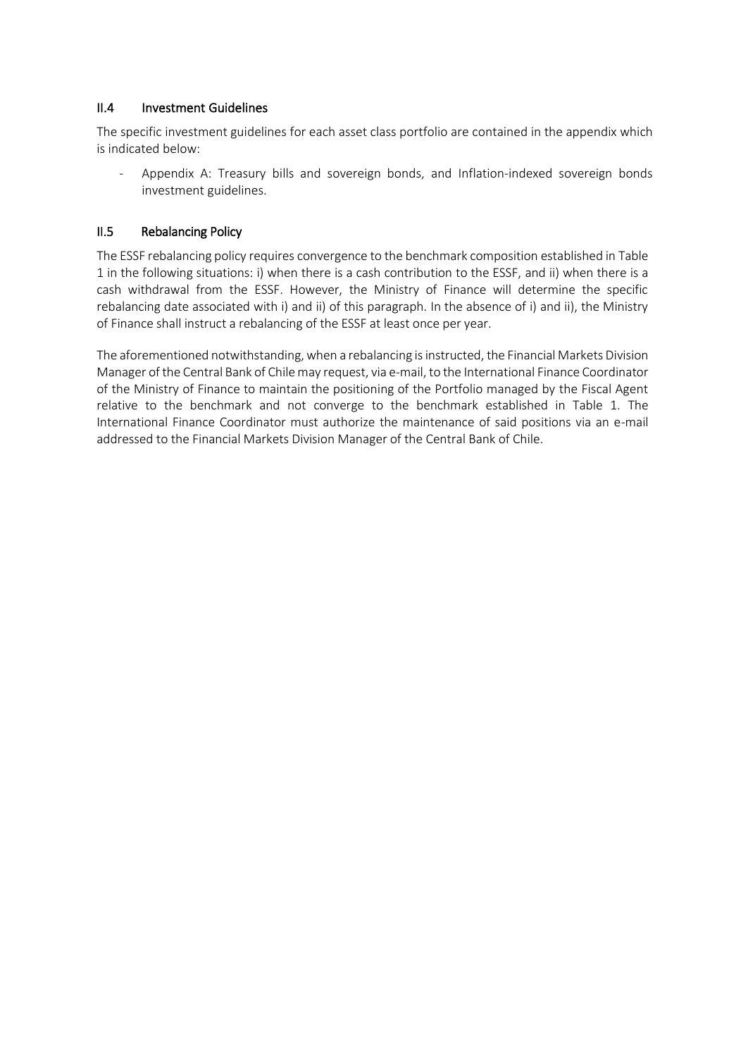#### II.4 Investment Guidelines

The specific investment guidelines for each asset class portfolio are contained in the appendix which is indicated below:

Appendix A: Treasury bills and sovereign bonds, and Inflation-indexed sovereign bonds investment guidelines.

### II.5 Rebalancing Policy

The ESSF rebalancing policy requires convergence to the benchmark composition established in Table 1 in the following situations: i) when there is a cash contribution to the ESSF, and ii) when there is a cash withdrawal from the ESSF. However, the Ministry of Finance will determine the specific rebalancing date associated with i) and ii) of this paragraph. In the absence of i) and ii), the Ministry of Finance shall instruct a rebalancing of the ESSF at least once per year.

The aforementioned notwithstanding, when a rebalancing is instructed, the Financial Markets Division Manager of the Central Bank of Chile may request, via e-mail, to the International Finance Coordinator of the Ministry of Finance to maintain the positioning of the Portfolio managed by the Fiscal Agent relative to the benchmark and not converge to the benchmark established in Table 1. The International Finance Coordinator must authorize the maintenance of said positions via an e-mail addressed to the Financial Markets Division Manager of the Central Bank of Chile.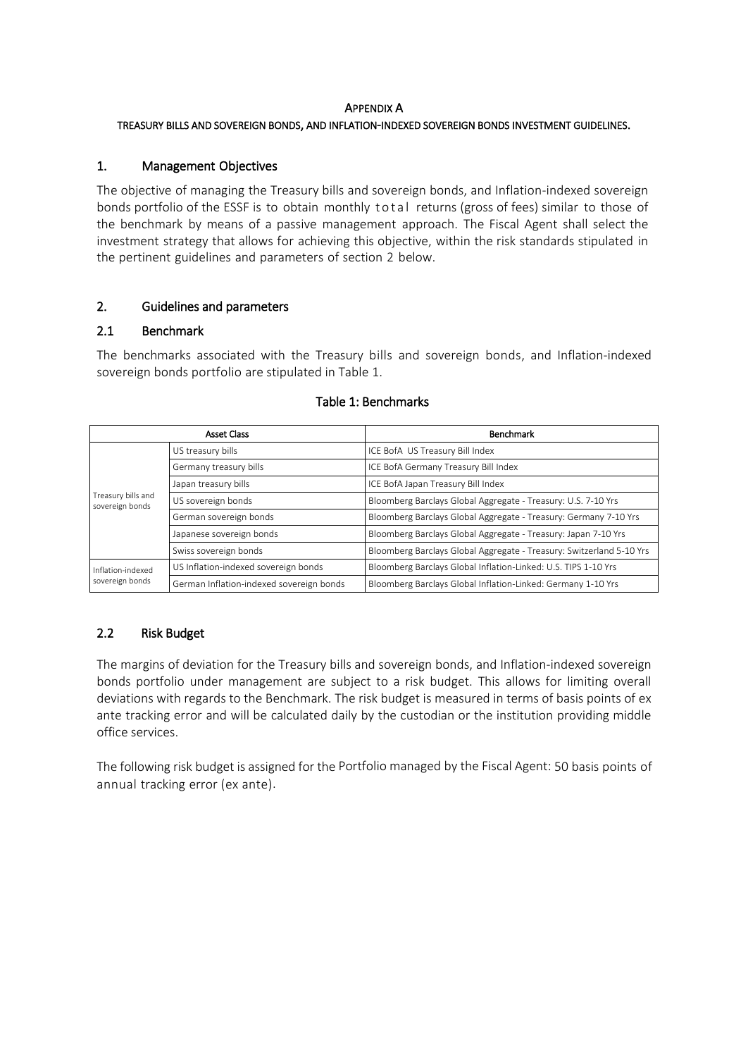#### APPENDIX A

#### TREASURY BILLS AND SOVEREIGN BONDS, AND INFLATION-INDEXED SOVEREIGN BONDS INVESTMENT GUIDELINES.

#### 1. Management Objectives

The objective of managing the Treasury bills and sovereign bonds, and Inflation-indexed sovereign bonds portfolio of the ESSF is to obtain monthly to tal returns (gross of fees) similar to those of the benchmark by means of a passive management approach. The Fiscal Agent shall select the investment strategy that allows for achieving this objective, within the risk standards stipulated in the pertinent guidelines and parameters of section 2 below.

#### 2. Guidelines and parameters

#### 2.1 Benchmark

The benchmarks associated with the Treasury bills and sovereign bonds, and Inflation-indexed sovereign bonds portfolio are stipulated in Table 1.

| <b>Asset Class</b>                    |                                          | Benchmark                                                            |  |
|---------------------------------------|------------------------------------------|----------------------------------------------------------------------|--|
| Treasury bills and<br>sovereign bonds | US treasury bills                        | ICE BofA US Treasury Bill Index                                      |  |
|                                       | Germany treasury bills                   | ICE BofA Germany Treasury Bill Index                                 |  |
|                                       | Japan treasury bills                     | ICE BofA Japan Treasury Bill Index                                   |  |
|                                       | US sovereign bonds                       | Bloomberg Barclays Global Aggregate - Treasury: U.S. 7-10 Yrs        |  |
|                                       | German sovereign bonds                   | Bloomberg Barclays Global Aggregate - Treasury: Germany 7-10 Yrs     |  |
|                                       | Japanese sovereign bonds                 | Bloomberg Barclays Global Aggregate - Treasury: Japan 7-10 Yrs       |  |
|                                       | Swiss sovereign bonds                    | Bloomberg Barclays Global Aggregate - Treasury: Switzerland 5-10 Yrs |  |
| Inflation-indexed<br>sovereign bonds  | US Inflation-indexed sovereign bonds     | Bloomberg Barclays Global Inflation-Linked: U.S. TIPS 1-10 Yrs       |  |
|                                       | German Inflation-indexed sovereign bonds | Bloomberg Barclays Global Inflation-Linked: Germany 1-10 Yrs         |  |

#### Table 1: Benchmarks

#### 2.2 Risk Budget

The margins of deviation for the Treasury bills and sovereign bonds, and Inflation-indexed sovereign bonds portfolio under management are subject to a risk budget. This allows for limiting overall deviations with regards to the Benchmark. The risk budget is measured in terms of basis points of ex ante tracking error and will be calculated daily by the custodian or the institution providing middle office services.

The following risk budget is assigned for the Portfolio managed by the Fiscal Agent: 50 basis points of annual tracking error (ex ante).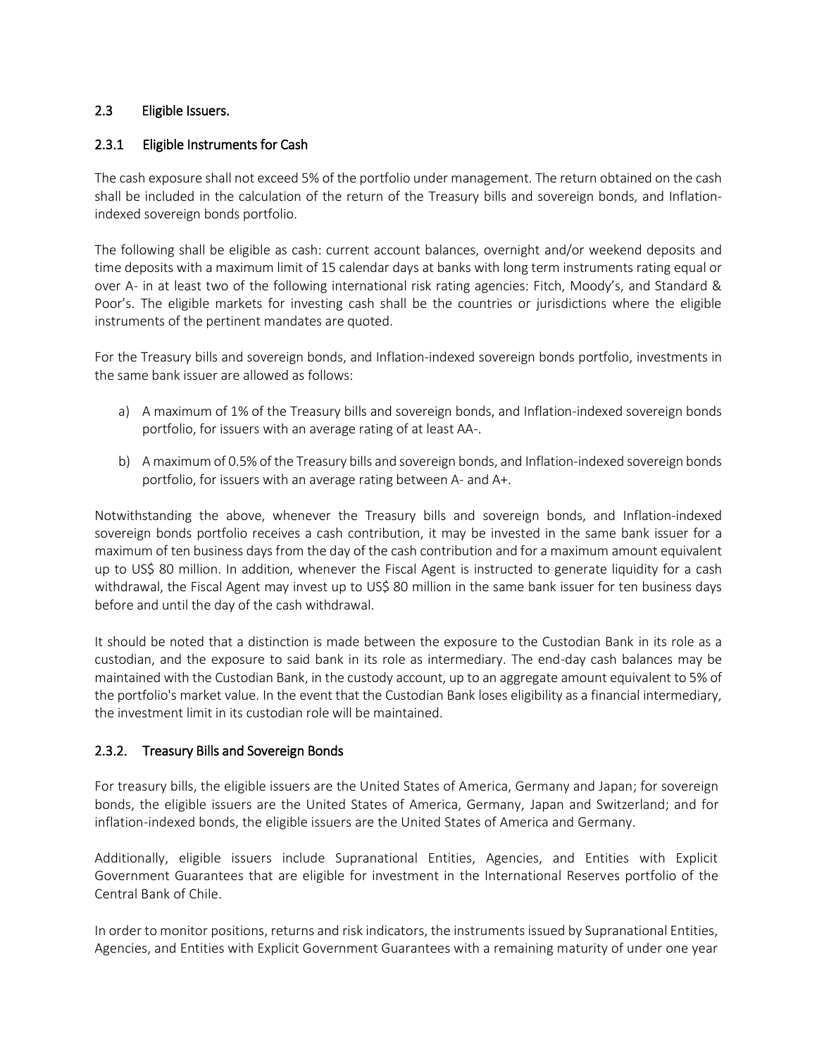## 2.3 Eligible Issuers.

## 2.3.1 Eligible Instruments for Cash

The cash exposure shall not exceed 5% of the portfolio under management. The return obtained on the cash shall be included in the calculation of the return of the Treasury bills and sovereign bonds, and Inflationindexed sovereign bonds portfolio.

The following shall be eligible as cash: current account balances, overnight and/or weekend deposits and time deposits with a maximum limit of 15 calendar days at banks with long term instruments rating equal or over A- in at least two of the following international risk rating agencies: Fitch, Moody's, and Standard & Poor's. The eligible markets for investing cash shall be the countries or jurisdictions where the eligible instruments of the pertinent mandates are quoted.

For the Treasury bills and sovereign bonds, and Inflation-indexed sovereign bonds portfolio, investments in the same bank issuer are allowed as follows:

- a) A maximum of 1% of the Treasury bills and sovereign bonds, and Inflation-indexed sovereign bonds portfolio, for issuers with an average rating of at least AA-.
- b) A maximum of 0.5% of the Treasury bills and sovereign bonds, and Inflation-indexed sovereign bonds portfolio, for issuers with an average rating between A- and A+.

Notwithstanding the above, whenever the Treasury bills and sovereign bonds, and Inflation-indexed sovereign bonds portfolio receives a cash contribution, it may be invested in the same bank issuer for a maximum of ten business days from the day of the cash contribution and for a maximum amount equivalent up to US\$ 80 million. In addition, whenever the Fiscal Agent is instructed to generate liquidity for a cash withdrawal, the Fiscal Agent may invest up to US\$ 80 million in the same bank issuer for ten business days before and until the day of the cash withdrawal.

It should be noted that a distinction is made between the exposure to the Custodian Bank in its role as a custodian, and the exposure to said bank in its role as intermediary. The end-day cash balances may be maintained with the Custodian Bank, in the custody account, up to an aggregate amount equivalent to 5% of the portfolio's market value. In the event that the Custodian Bank loses eligibility as a financial intermediary, the investment limit in its custodian role will be maintained.

## 2.3.2. Treasury Bills and Sovereign Bonds

For treasury bills, the eligible issuers are the United States of America, Germany and Japan; for sovereign bonds, the eligible issuers are the United States of America, Germany, Japan and Switzerland; and for inflation-indexed bonds, the eligible issuers are the United States of America and Germany.

Additionally, eligible issuers include Supranational Entities, Agencies, and Entities with Explicit Government Guarantees that are eligible for investment in the International Reserves portfolio of the Central Bank of Chile.

In order to monitor positions, returns and risk indicators, the instruments issued by Supranational Entities, Agencies, and Entities with Explicit Government Guarantees with a remaining maturity of under one year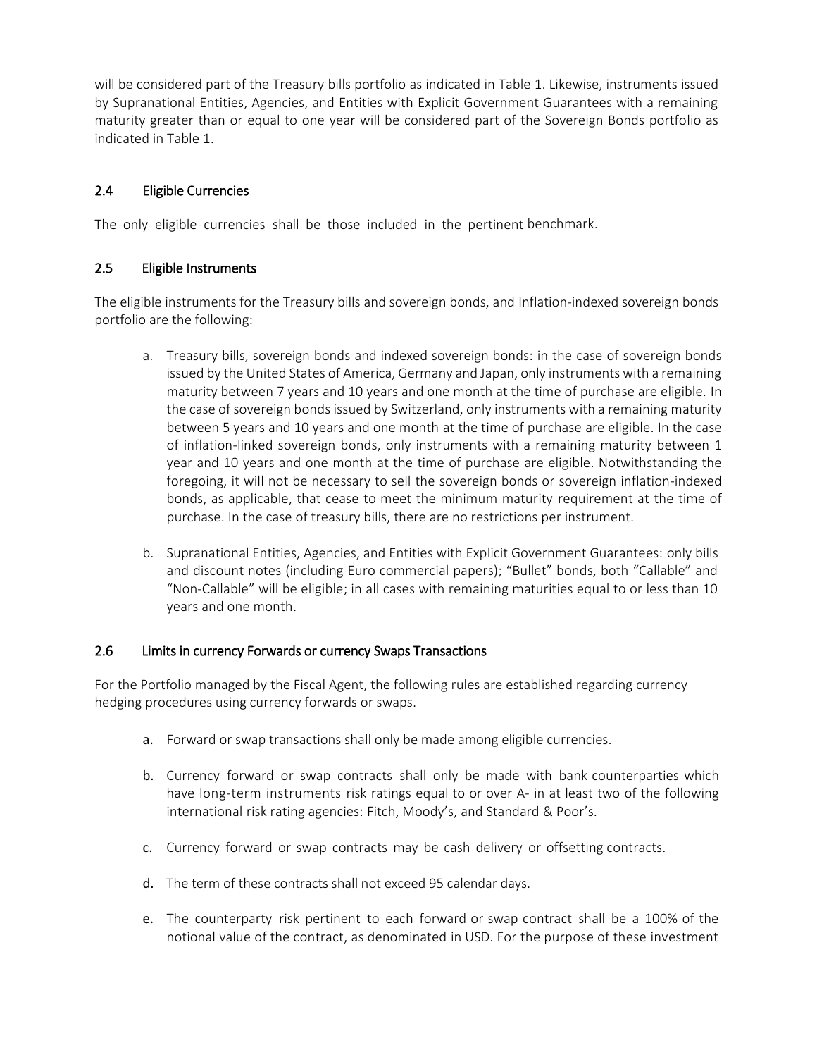will be considered part of the Treasury bills portfolio as indicated in Table 1. Likewise, instruments issued by Supranational Entities, Agencies, and Entities with Explicit Government Guarantees with a remaining maturity greater than or equal to one year will be considered part of the Sovereign Bonds portfolio as indicated in Table 1.

## 2.4 Eligible Currencies

The only eligible currencies shall be those included in the pertinent benchmark.

## 2.5 Eligible Instruments

The eligible instruments for the Treasury bills and sovereign bonds, and Inflation-indexed sovereign bonds portfolio are the following:

- a. Treasury bills, sovereign bonds and indexed sovereign bonds: in the case of sovereign bonds issued by the United States of America, Germany and Japan, only instruments with a remaining maturity between 7 years and 10 years and one month at the time of purchase are eligible. In the case of sovereign bonds issued by Switzerland, only instruments with a remaining maturity between 5 years and 10 years and one month at the time of purchase are eligible. In the case of inflation-linked sovereign bonds, only instruments with a remaining maturity between 1 year and 10 years and one month at the time of purchase are eligible. Notwithstanding the foregoing, it will not be necessary to sell the sovereign bonds or sovereign inflation-indexed bonds, as applicable, that cease to meet the minimum maturity requirement at the time of purchase. In the case of treasury bills, there are no restrictions per instrument.
- b. Supranational Entities, Agencies, and Entities with Explicit Government Guarantees: only bills and discount notes (including Euro commercial papers); "Bullet" bonds, both "Callable" and "Non-Callable" will be eligible; in all cases with remaining maturities equal to or less than 10 years and one month.

#### 2.6 Limits in currency Forwards or currency Swaps Transactions

For the Portfolio managed by the Fiscal Agent, the following rules are established regarding currency hedging procedures using currency forwards or swaps.

- a. Forward or swap transactions shall only be made among eligible currencies.
- b. Currency forward or swap contracts shall only be made with bank counterparties which have long-term instruments risk ratings equal to or over A- in at least two of the following international risk rating agencies: Fitch, Moody's, and Standard & Poor's.
- c. Currency forward or swap contracts may be cash delivery or offsetting contracts.
- d. The term of these contracts shall not exceed 95 calendar days.
- e. The counterparty risk pertinent to each forward or swap contract shall be a 100% of the notional value of the contract, as denominated in USD. For the purpose of these investment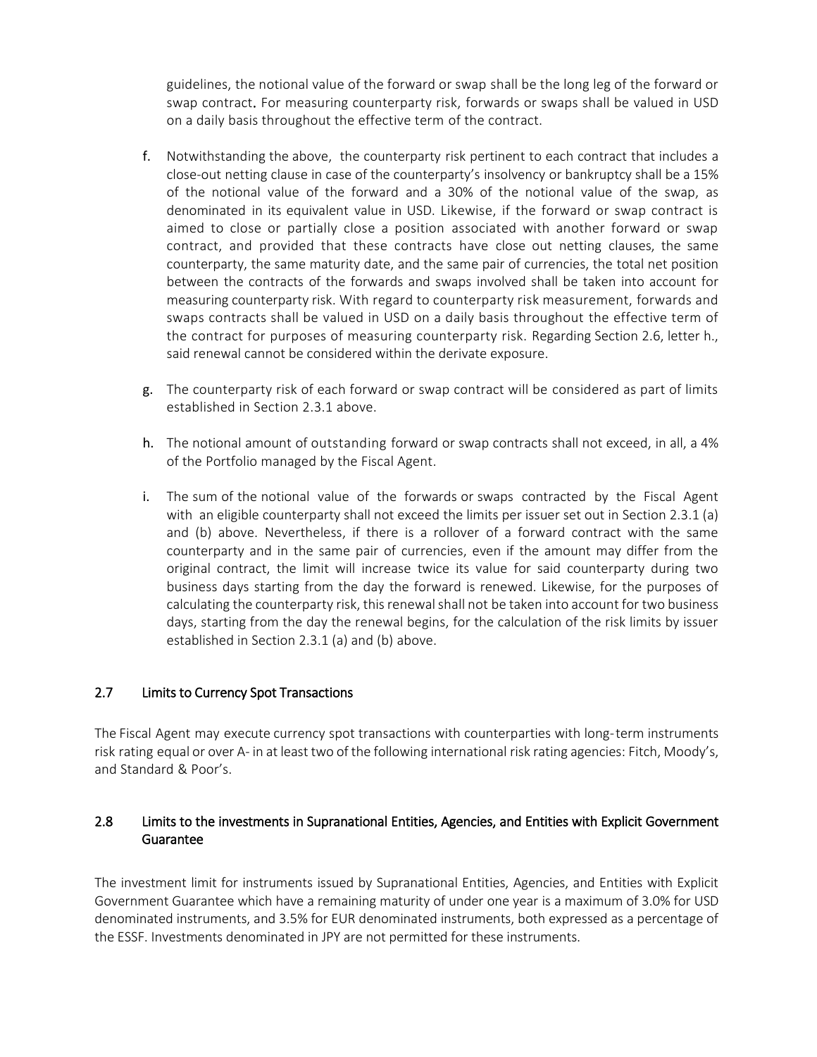guidelines, the notional value of the forward or swap shall be the long leg of the forward or swap contract. For measuring counterparty risk, forwards or swaps shall be valued in USD on a daily basis throughout the effective term of the contract.

- f. Notwithstanding the above, the counterparty risk pertinent to each contract that includes a close-out netting clause in case of the counterparty's insolvency or bankruptcy shall be a 15% of the notional value of the forward and a 30% of the notional value of the swap, as denominated in its equivalent value in USD. Likewise, if the forward or swap contract is aimed to close or partially close a position associated with another forward or swap contract, and provided that these contracts have close out netting clauses, the same counterparty, the same maturity date, and the same pair of currencies, the total net position between the contracts of the forwards and swaps involved shall be taken into account for measuring counterparty risk. With regard to counterparty risk measurement, forwards and swaps contracts shall be valued in USD on a daily basis throughout the effective term of the contract for purposes of measuring counterparty risk. Regarding Section 2.6, letter h., said renewal cannot be considered within the derivate exposure.
- g. The counterparty risk of each forward or swap contract will be considered as part of limits established in Section 2.3.1 above.
- h. The notional amount of outstanding forward or swap contracts shall not exceed, in all, a 4% of the Portfolio managed by the Fiscal Agent.
- i. The sum of the notional value of the forwards or swaps contracted by the Fiscal Agent with an eligible counterparty shall not exceed the limits per issuer set out in Section 2.3.1 (a) and (b) above. Nevertheless, if there is a rollover of a forward contract with the same counterparty and in the same pair of currencies, even if the amount may differ from the original contract, the limit will increase twice its value for said counterparty during two business days starting from the day the forward is renewed. Likewise, for the purposes of calculating the counterparty risk, this renewal shall not be taken into account for two business days, starting from the day the renewal begins, for the calculation of the risk limits by issuer established in Section 2.3.1 (a) and (b) above.

#### 2.7 Limits to Currency Spot Transactions

The Fiscal Agent may execute currency spot transactions with counterparties with long-term instruments risk rating equal or over A- in at least two of the following international risk rating agencies: Fitch, Moody's, and Standard & Poor's.

## 2.8 Limits to the investments in Supranational Entities, Agencies, and Entities with Explicit Government Guarantee

The investment limit for instruments issued by Supranational Entities, Agencies, and Entities with Explicit Government Guarantee which have a remaining maturity of under one year is a maximum of 3.0% for USD denominated instruments, and 3.5% for EUR denominated instruments, both expressed as a percentage of the ESSF. Investments denominated in JPY are not permitted for these instruments.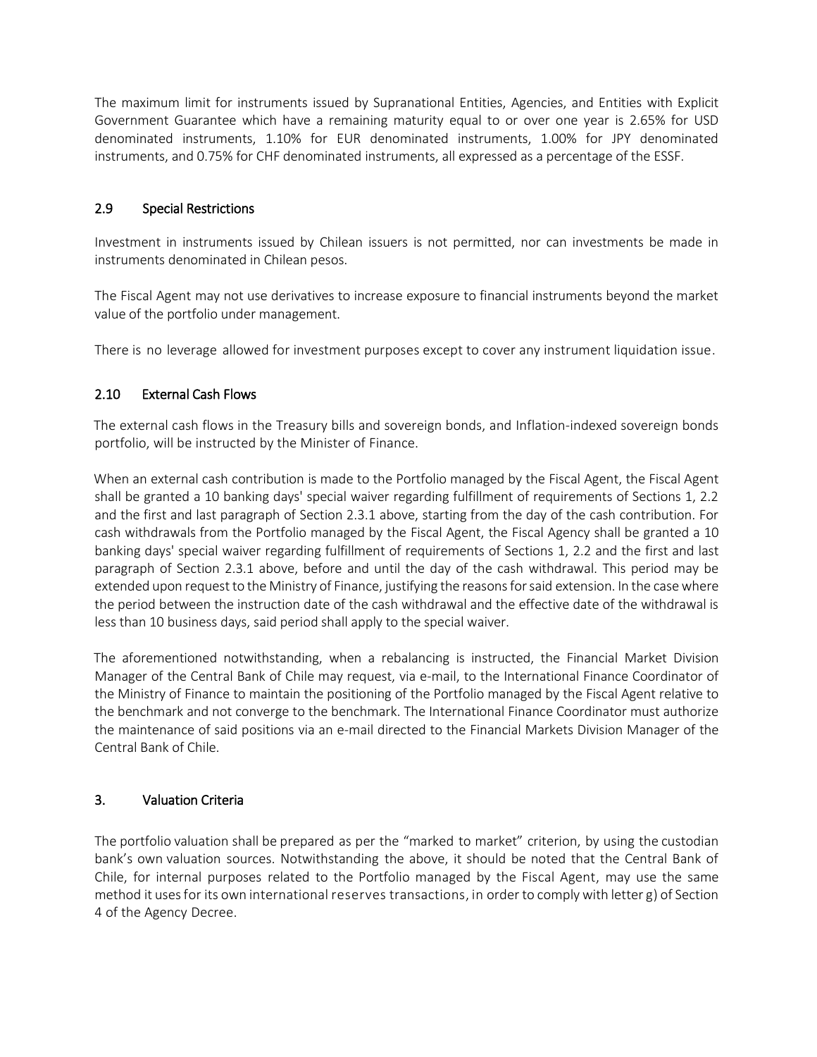The maximum limit for instruments issued by Supranational Entities, Agencies, and Entities with Explicit Government Guarantee which have a remaining maturity equal to or over one year is 2.65% for USD denominated instruments, 1.10% for EUR denominated instruments, 1.00% for JPY denominated instruments, and 0.75% for CHF denominated instruments, all expressed as a percentage of the ESSF.

### 2.9 Special Restrictions

Investment in instruments issued by Chilean issuers is not permitted, nor can investments be made in instruments denominated in Chilean pesos.

The Fiscal Agent may not use derivatives to increase exposure to financial instruments beyond the market value of the portfolio under management.

There is no leverage allowed for investment purposes except to cover any instrument liquidation issue.

## 2.10 External Cash Flows

The external cash flows in the Treasury bills and sovereign bonds, and Inflation-indexed sovereign bonds portfolio, will be instructed by the Minister of Finance.

When an external cash contribution is made to the Portfolio managed by the Fiscal Agent, the Fiscal Agent shall be granted a 10 banking days' special waiver regarding fulfillment of requirements of Sections 1, 2.2 and the first and last paragraph of Section 2.3.1 above, starting from the day of the cash contribution. For cash withdrawals from the Portfolio managed by the Fiscal Agent, the Fiscal Agency shall be granted a 10 banking days' special waiver regarding fulfillment of requirements of Sections 1, 2.2 and the first and last paragraph of Section 2.3.1 above, before and until the day of the cash withdrawal. This period may be extended upon request to the Ministry of Finance, justifying the reasons for said extension. In the case where the period between the instruction date of the cash withdrawal and the effective date of the withdrawal is less than 10 business days, said period shall apply to the special waiver.

The aforementioned notwithstanding, when a rebalancing is instructed, the Financial Market Division Manager of the Central Bank of Chile may request, via e-mail, to the International Finance Coordinator of the Ministry of Finance to maintain the positioning of the Portfolio managed by the Fiscal Agent relative to the benchmark and not converge to the benchmark. The International Finance Coordinator must authorize the maintenance of said positions via an e-mail directed to the Financial Markets Division Manager of the Central Bank of Chile.

#### 3. Valuation Criteria

The portfolio valuation shall be prepared as per the "marked to market" criterion, by using the custodian bank's own valuation sources. Notwithstanding the above, it should be noted that the Central Bank of Chile, for internal purposes related to the Portfolio managed by the Fiscal Agent, may use the same method it uses for its own international reserves transactions, in order to comply with letter g) of Section 4 of the Agency Decree.